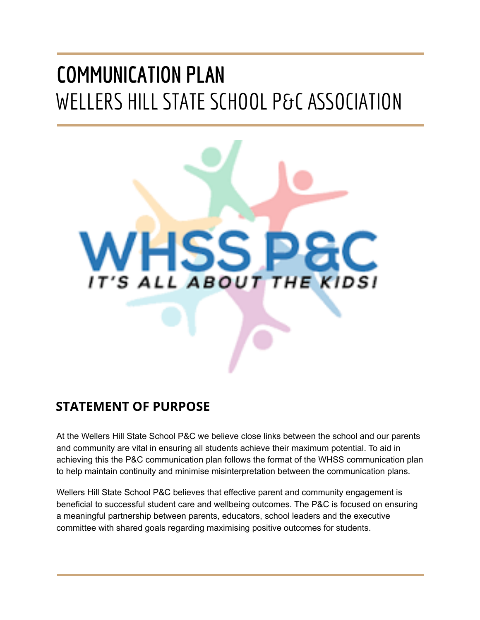# **COMMUNICATION PLAN** WELLERS HILL STATE SCHOOL P&C ASSOCIATION



### <span id="page-0-0"></span>**STATEMENT OF PURPOSE**

At the Wellers Hill State School P&C we believe close links between the school and our parents and community are vital in ensuring all students achieve their maximum potential. To aid in achieving this the P&C communication plan follows the format of the WHSS communication plan to help maintain continuity and minimise misinterpretation between the communication plans.

Wellers Hill State School P&C believes that effective parent and community engagement is beneficial to successful student care and wellbeing outcomes. The P&C is focused on ensuring a meaningful partnership between parents, educators, school leaders and the executive committee with shared goals regarding maximising positive outcomes for students.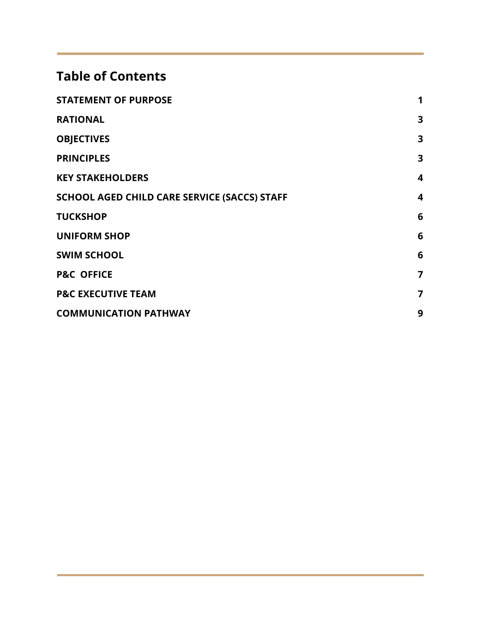### **Table of Contents**

| <b>STATEMENT OF PURPOSE</b>                  | 1                |
|----------------------------------------------|------------------|
| <b>RATIONAL</b>                              | 3                |
| <b>OBJECTIVES</b>                            | 3                |
| <b>PRINCIPLES</b>                            | 3                |
| <b>KEY STAKEHOLDERS</b>                      | 4                |
| SCHOOL AGED CHILD CARE SERVICE (SACCS) STAFF | $\boldsymbol{4}$ |
| <b>TUCKSHOP</b>                              | 6                |
| <b>UNIFORM SHOP</b>                          | 6                |
| <b>SWIM SCHOOL</b>                           | 6                |
| <b>P&amp;C OFFICE</b>                        | 7                |
| <b>P&amp;C EXECUTIVE TEAM</b>                | $\overline{7}$   |
| <b>COMMUNICATION PATHWAY</b>                 | 9                |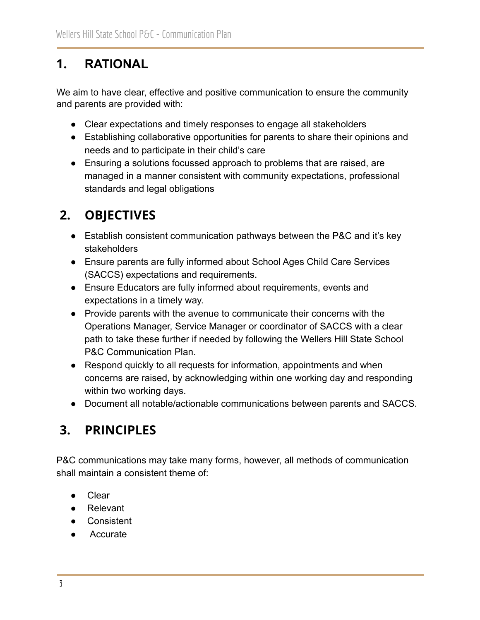# <span id="page-2-0"></span>**1. RATIONAL**

We aim to have clear, effective and positive communication to ensure the community and parents are provided with:

- Clear expectations and timely responses to engage all stakeholders
- Establishing collaborative opportunities for parents to share their opinions and needs and to participate in their child's care
- Ensuring a solutions focussed approach to problems that are raised, are managed in a manner consistent with community expectations, professional standards and legal obligations

# <span id="page-2-1"></span>**2. OBJECTIVES**

- Establish consistent communication pathways between the P&C and it's key stakeholders
- Ensure parents are fully informed about School Ages Child Care Services (SACCS) expectations and requirements.
- Ensure Educators are fully informed about requirements, events and expectations in a timely way.
- Provide parents with the avenue to communicate their concerns with the Operations Manager, Service Manager or coordinator of SACCS with a clear path to take these further if needed by following the Wellers Hill State School P&C Communication Plan.
- Respond quickly to all requests for information, appointments and when concerns are raised, by acknowledging within one working day and responding within two working days.
- Document all notable/actionable communications between parents and SACCS.

# <span id="page-2-2"></span>**3. PRINCIPLES**

P&C communications may take many forms, however, all methods of communication shall maintain a consistent theme of:

- Clear
- Relevant
- Consistent
- Accurate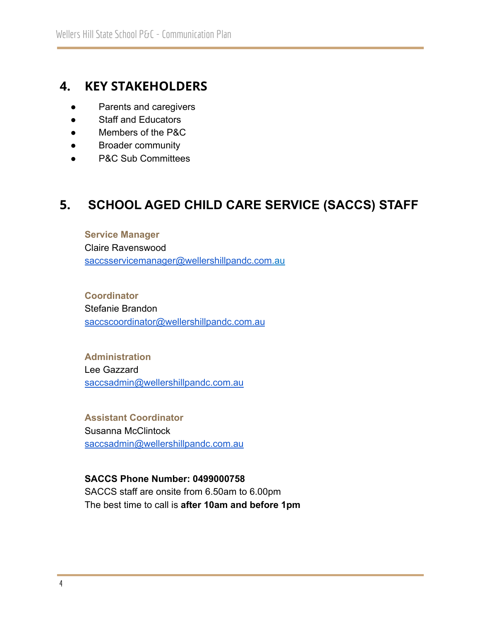### <span id="page-3-0"></span>**4. KEY STAKEHOLDERS**

- Parents and caregivers
- Staff and Educators
- Members of the P&C
- Broader community
- P&C Sub Committees

### <span id="page-3-1"></span>**5. SCHOOL AGED CHILD CARE SERVICE (SACCS) STAFF**

#### **Service Manager**

Claire Ravenswood [saccsservicemanager@wellershillpandc.com.](mailto:saccsservicemanager@wellershillpandc.com.au)au

**Coordinator** Stefanie Brandon [saccscoordinator@wellershillpandc.com.au](mailto:saccscoordinator@wellershillpandc.com.au)

**Administration** Lee Gazzard [saccsadmin@wellershillpandc.com.au](mailto:saccsadmin@wellershillpandc.com.au)

**Assistant Coordinator** Susanna McClintock [saccsadmin@wellershillpandc.com.au](mailto:saccsadmin@wellershillpandc.com.au)

**SACCS Phone Number: 0499000758** SACCS staff are onsite from 6.50am to 6.00pm The best time to call is **after 10am and before 1pm**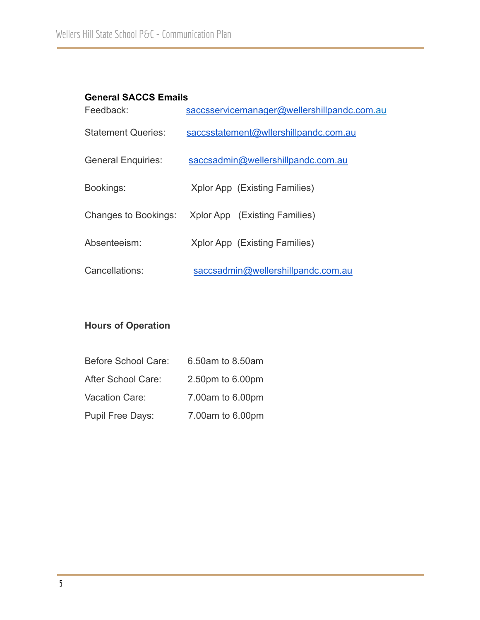#### **General SACCS Emails**

| Feedback:                   | saccsservicemanager@wellershillpandc.com.au |  |  |
|-----------------------------|---------------------------------------------|--|--|
| <b>Statement Queries:</b>   | saccsstatement@wllershillpandc.com.au       |  |  |
| <b>General Enquiries:</b>   | saccsadmin@wellershillpandc.com.au          |  |  |
| Bookings:                   | Xplor App (Existing Families)               |  |  |
| <b>Changes to Bookings:</b> | Xplor App (Existing Families)               |  |  |
| Absenteeism:                | Xplor App (Existing Families)               |  |  |
| Cancellations:              | saccsadmin@wellershillpandc.com.au          |  |  |

### **Hours of Operation**

| <b>Before School Care:</b> | 6.50am to 8.50am |
|----------------------------|------------------|
| After School Care:         | 2.50pm to 6.00pm |
| Vacation Care:             | 7.00am to 6.00pm |
| <b>Pupil Free Days:</b>    | 7.00am to 6.00pm |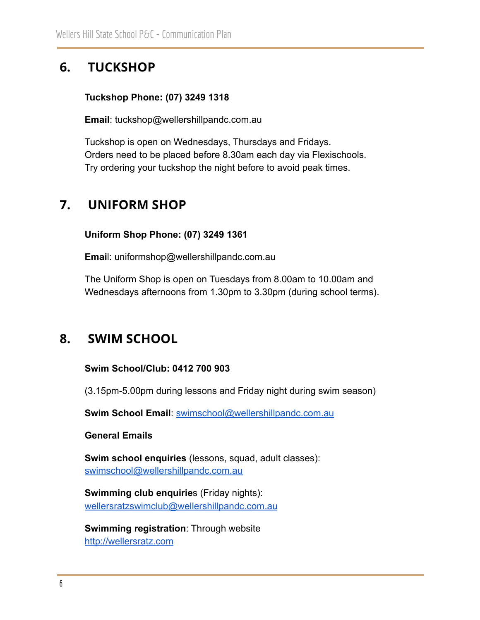# <span id="page-5-0"></span>**6. TUCKSHOP**

#### **Tuckshop Phone: (07) 3249 1318**

**Email**: tuckshop@wellershillpandc.com.au

Tuckshop is open on Wednesdays, Thursdays and Fridays. Orders need to be placed before 8.30am each day via Flexischools. Try ordering your tuckshop the night before to avoid peak times.

### <span id="page-5-1"></span>**7. UNIFORM SHOP**

**Uniform Shop Phone: (07) 3249 1361**

**Emai**l: uniformshop@wellershillpandc.com.au

The Uniform Shop is open on Tuesdays from 8.00am to 10.00am and Wednesdays afternoons from 1.30pm to 3.30pm (during school terms).

### <span id="page-5-2"></span>**8. SWIM SCHOOL**

#### **Swim School/Club: 0412 700 903**

(3.15pm-5.00pm during lessons and Friday night during swim season)

**Swim School Email**: [swimschool@wellershillpandc.com.au](mailto:swimschool@wellershillpandc.com.au)

#### **General Emails**

**Swim school enquiries** (lessons, squad, adult classes): [swimschool@wellershillpandc.com.au](mailto:swimschool@wellershillpandc.com.au)

**Swimming club enquirie**s (Friday nights): [wellersratzswimclub@wellershillpandc.com.au](mailto:wellersratzswimclub@wellershillpandc.com.au)

**Swimming registration**: Through website <http://wellersratz.com>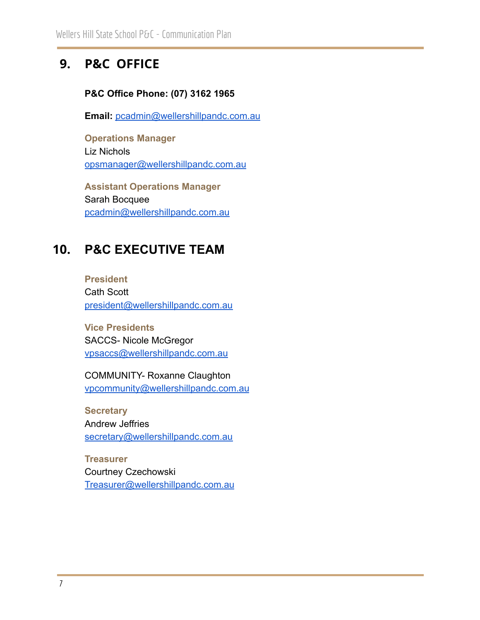### <span id="page-6-0"></span>**9. P&C OFFICE**

#### **P&C Office Phone: (07) 3162 1965**

**Email:** [pcadmin@wellershillpandc.com.au](mailto:pcadmin@wellershillpandc.com.au)

**Operations Manager** Liz Nichols [opsmanager@wellershillpandc.com.au](mailto:opsmanager@wellershillpandc.com.au)

**Assistant Operations Manager** Sarah Bocquee [pcadmin@wellershillpandc.com.au](mailto:pandcadmin@wellershillpandc.com.au)

# <span id="page-6-1"></span>**10. P&C EXECUTIVE TEAM**

**President** Cath Scott [president@wellershillpandc.com.au](mailto:president@wellershillpandc.com.au)

**Vice Presidents** SACCS- Nicole McGregor [vpsaccs@wellershillpandc.com.au](mailto:vpsaccs@wellershillpandc.coml.au)

COMMUNITY- Roxanne Claughton [vpcommunity@wellershillpandc.com.au](mailto:vpcommunity@wellershillpandc.com.au)

**Secretary** Andrew Jeffries [secretary@wellershillpandc.com.au](mailto:secretary@wellershillpandc.com.au)

**Treasurer** Courtney Czechowski [Treasurer@wellershillpandc.com.au](mailto:Treasure@wellershillpandc.com.au)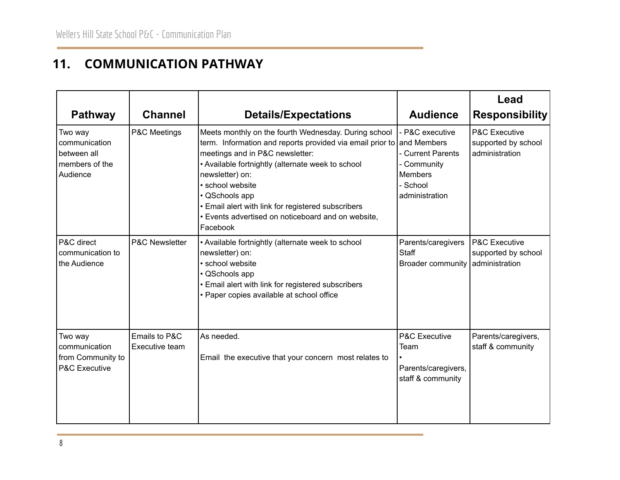### **11. COMMUNICATION PATHWAY**

<span id="page-7-0"></span>

| <b>Pathway</b>                                                            | <b>Channel</b>                  | <b>Details/Expectations</b>                                                                                                                                                                                                                                                                                                                                                                            | <b>Audience</b>                                                                                     | Lead<br><b>Responsibility</b>                                     |
|---------------------------------------------------------------------------|---------------------------------|--------------------------------------------------------------------------------------------------------------------------------------------------------------------------------------------------------------------------------------------------------------------------------------------------------------------------------------------------------------------------------------------------------|-----------------------------------------------------------------------------------------------------|-------------------------------------------------------------------|
| Two way<br>communication<br>between all<br>members of the<br>Audience     | P&C Meetings                    | Meets monthly on the fourth Wednesday. During school<br>term. Information and reports provided via email prior to and Members<br>meetings and in P&C newsletter:<br>• Available fortnightly (alternate week to school<br>newsletter) on:<br>· school website<br>• QSchools app<br>• Email alert with link for registered subscribers<br>· Events advertised on noticeboard and on website,<br>Facebook | - P&C executive<br>- Current Parents<br>- Community<br><b>Members</b><br>- School<br>administration | P&C Executive<br>supported by school<br>administration            |
| <b>P&amp;C</b> direct<br>communication to<br>the Audience                 | P&C Newsletter                  | • Available fortnightly (alternate week to school<br>newsletter) on:<br>· school website<br>· QSchools app<br>• Email alert with link for registered subscribers<br>• Paper copies available at school office                                                                                                                                                                                          | Parents/caregivers<br>Staff<br><b>Broader community</b>                                             | <b>P&amp;C Executive</b><br>supported by school<br>administration |
| Two way<br>communication<br>from Community to<br><b>P&amp;C Executive</b> | Emails to P&C<br>Executive team | As needed.<br>Email the executive that your concern most relates to                                                                                                                                                                                                                                                                                                                                    | P&C Executive<br>Team<br>Parents/caregivers,<br>staff & community                                   | Parents/caregivers,<br>staff & community                          |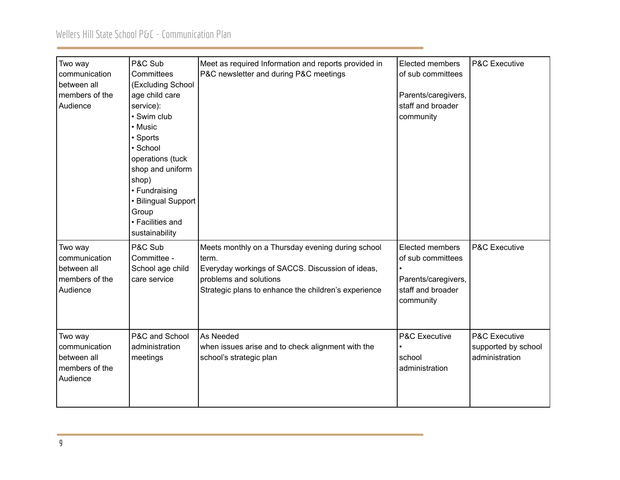### Wellers Hill State School P&C - Communication Plan

| Two way<br>communication<br>between all<br>members of the<br>Audience | P&C Sub<br>Committees<br>(Excluding School<br>age child care<br>service):<br>• Swim club<br>• Music<br>• Sports<br>· School<br>operations (tuck<br>shop and uniform<br>shop)<br>• Fundraising<br>• Bilingual Support<br>Group<br>• Facilities and<br>sustainability | Meet as required Information and reports provided in<br>P&C newsletter and during P&C meetings                                                                                                   | Elected members<br>of sub committees<br>Parents/caregivers,<br>staff and broader<br>community | P&C Executive                                          |
|-----------------------------------------------------------------------|---------------------------------------------------------------------------------------------------------------------------------------------------------------------------------------------------------------------------------------------------------------------|--------------------------------------------------------------------------------------------------------------------------------------------------------------------------------------------------|-----------------------------------------------------------------------------------------------|--------------------------------------------------------|
| Two way<br>communication<br>between all<br>members of the<br>Audience | P&C Sub<br>Committee -<br>School age child<br>care service                                                                                                                                                                                                          | Meets monthly on a Thursday evening during school<br>term.<br>Everyday workings of SACCS. Discussion of ideas,<br>problems and solutions<br>Strategic plans to enhance the children's experience | Elected members<br>of sub committees<br>Parents/caregivers,<br>staff and broader<br>community | P&C Executive                                          |
| Two way<br>communication<br>between all<br>members of the<br>Audience | P&C and School<br>administration<br>meetings                                                                                                                                                                                                                        | As Needed<br>when issues arise and to check alignment with the<br>school's strategic plan                                                                                                        | P&C Executive<br>school<br>administration                                                     | P&C Executive<br>supported by school<br>administration |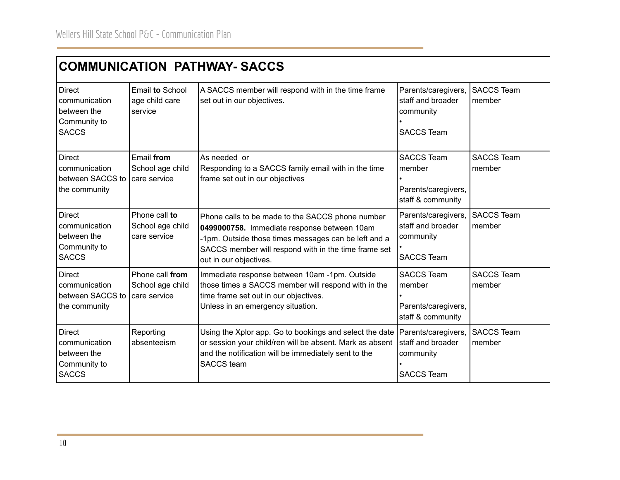| <b>COMMUNICATION PATHWAY- SACCS</b>                                           |                                                     |                                                                                                                                                                                                                                           |                                                                            |                             |
|-------------------------------------------------------------------------------|-----------------------------------------------------|-------------------------------------------------------------------------------------------------------------------------------------------------------------------------------------------------------------------------------------------|----------------------------------------------------------------------------|-----------------------------|
| <b>Direct</b><br>communication<br>between the<br>Community to<br><b>SACCS</b> | Email to School<br>age child care<br>service        | A SACCS member will respond with in the time frame<br>set out in our objectives.                                                                                                                                                          | Parents/caregivers,<br>staff and broader<br>community<br><b>SACCS Team</b> | <b>SACCS Team</b><br>member |
| <b>Direct</b><br>communication<br>between SACCS to<br>the community           | Email from<br>School age child<br>care service      | As needed or<br>Responding to a SACCS family email with in the time<br>frame set out in our objectives                                                                                                                                    | <b>SACCS Team</b><br>member<br>Parents/caregivers,<br>staff & community    | <b>SACCS Team</b><br>member |
| <b>Direct</b><br>communication<br>between the<br>Community to<br><b>SACCS</b> | Phone call to<br>School age child<br>care service   | Phone calls to be made to the SACCS phone number<br>0499000758. Immediate response between 10am<br>-1pm. Outside those times messages can be left and a<br>SACCS member will respond with in the time frame set<br>out in our objectives. | Parents/caregivers,<br>staff and broader<br>community<br><b>SACCS Team</b> | <b>SACCS Team</b><br>member |
| <b>Direct</b><br>communication<br>between SACCS to<br>the community           | Phone call from<br>School age child<br>care service | Immediate response between 10am -1pm. Outside<br>those times a SACCS member will respond with in the<br>time frame set out in our objectives.<br>Unless in an emergency situation.                                                        | <b>SACCS Team</b><br>member<br>Parents/caregivers,<br>staff & community    | <b>SACCS Team</b><br>member |
| <b>Direct</b><br>communication<br>between the<br>Community to<br><b>SACCS</b> | Reporting<br>absenteeism                            | Using the Xplor app. Go to bookings and select the date<br>or session your child/ren will be absent. Mark as absent<br>and the notification will be immediately sent to the<br><b>SACCS</b> team                                          | Parents/caregivers,<br>staff and broader<br>community<br><b>SACCS Team</b> | <b>SACCS Team</b><br>member |